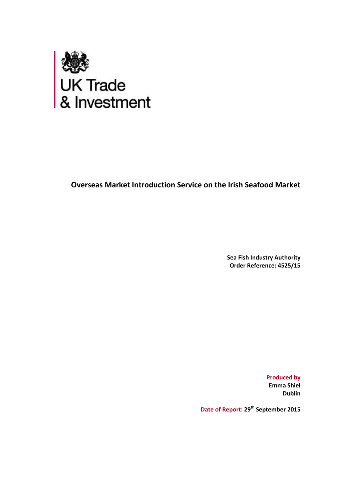

**Overseas Market Introduction Service on the Irish Seafood Market**

**Sea Fish Industry Authority Order Reference: 4525/15**

> **Produced by Emma Shiel Dublin**

**Date of Report: 29th September 2015**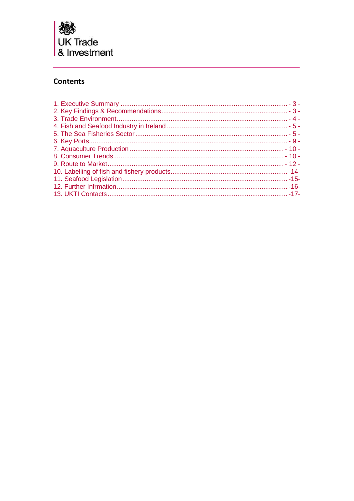

# **Contents**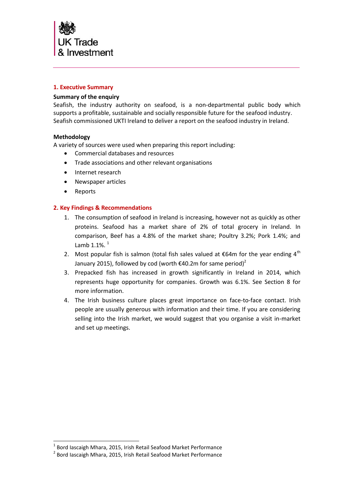

# <span id="page-2-0"></span>**1. Executive Summary**

# **Summary of the enquiry**

Seafish, the industry authority on seafood, is a non-departmental public body which supports a profitable, sustainable and socially responsible future for the seafood industry. Seafish commissioned UKTI Ireland to deliver a report on the seafood industry in Ireland.

# **Methodology**

A variety of sources were used when preparing this report including:

- Commercial databases and resources
- Trade associations and other relevant organisations
- Internet research
- Newspaper articles
- Reports

l

# <span id="page-2-1"></span>**2. Key Findings & Recommendations**

- 1. The consumption of seafood in Ireland is increasing, however not as quickly as other proteins. Seafood has a market share of 2% of total grocery in Ireland. In comparison, Beef has a 4.8% of the market share; Poultry 3.2%; Pork 1.4%; and Lamb  $1.1\%$ .  $1$
- 2. Most popular fish is salmon (total fish sales valued at  $\epsilon$ 64m for the year ending 4<sup>th</sup> January 2015), followed by cod (worth  $\epsilon$ 40.2m for same period)<sup>2</sup>
- 3. Prepacked fish has increased in growth significantly in Ireland in 2014, which represents huge opportunity for companies. Growth was 6.1%. See Section 8 for more information.
- 4. The Irish business culture places great importance on face-to-face contact. Irish people are usually generous with information and their time. If you are considering selling into the Irish market, we would suggest that you organise a visit in-market and set up meetings.

 $^{1}$  Bord Iascaigh Mhara, 2015, Irish Retail Seafood Market Performance

<sup>&</sup>lt;sup>2</sup> Bord Iascaigh Mhara, 2015, Irish Retail Seafood Market Performance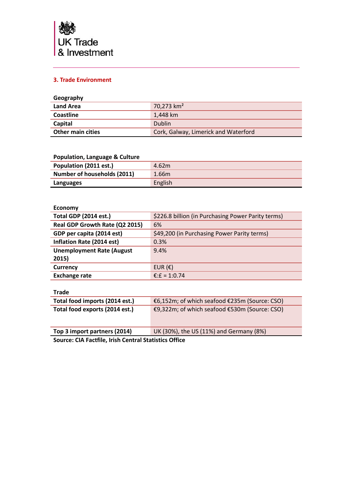

# <span id="page-3-0"></span>**3. Trade Environment**

| Geography                |                                      |
|--------------------------|--------------------------------------|
| <b>Land Area</b>         | 70,273 km <sup>2</sup>               |
| <b>Coastline</b>         | 1.448 km                             |
| Capital                  | <b>Dublin</b>                        |
| <b>Other main cities</b> | Cork, Galway, Limerick and Waterford |

# **Population, Language & Culture**

| Population (2011 est.)      | 4.62m   |
|-----------------------------|---------|
| Number of households (2011) | 1.66m   |
| Languages                   | English |

### **Economy**

| <b>Total GDP (2014 est.)</b>     | \$226.8 billion (in Purchasing Power Parity terms) |
|----------------------------------|----------------------------------------------------|
| Real GDP Growth Rate (Q2 2015)   | 6%                                                 |
| GDP per capita (2014 est)        | \$49,200 (in Purchasing Power Parity terms)        |
| Inflation Rate (2014 est)        | 0.3%                                               |
| <b>Unemployment Rate (August</b> | 9.4%                                               |
| 2015)                            |                                                    |
| Currency                         | EUR $(E)$                                          |
| <b>Exchange rate</b>             | €:£ = 1:0.74                                       |

# **Trade**

| Total food imports (2014 est.)                        | €6,152m; of which seafood €235m (Source: CSO) |
|-------------------------------------------------------|-----------------------------------------------|
| Total food exports (2014 est.)                        | €9,322m; of which seafood €530m (Source: CSO) |
| Top 3 import partners (2014)                          | UK (30%), the US (11%) and Germany (8%)       |
| Courses CIA Footfile, Inish Control Chatistics Office |                                               |

**Source: CIA Factfile, Irish Central Statistics Office**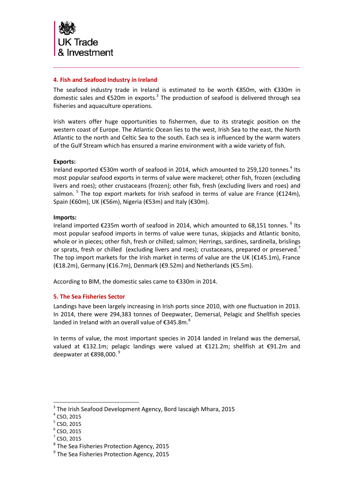

# <span id="page-4-0"></span>**4. Fish and Seafood Industry in Ireland**

The seafood industry trade in Ireland is estimated to be worth €850m, with €330m in domestic sales and €520m in exports.<sup>3</sup> The production of seafood is delivered through sea fisheries and aquaculture operations.

Irish waters offer huge opportunities to fishermen, due to its strategic position on the western coast of Europe. The Atlantic Ocean lies to the west, Irish Sea to the east, the North Atlantic to the north and Celtic Sea to the south. Each sea is influenced by the warm waters of the Gulf Stream which has ensured a marine environment with a wide variety of fish.

### **Exports:**

Ireland exported  $\epsilon$ 530m worth of seafood in 2014, which amounted to 259,120 tonnes.<sup>4</sup> Its most popular seafood exports in terms of value were mackerel; other fish, frozen (excluding livers and roes); other crustaceans (frozen); other fish, fresh (excluding livers and roes) and salmon.  $^5$  The top export markets for Irish seafood in terms of value are France (€124m), Spain (€60m), UK (€56m), Nigeria (€53m) and Italy (€30m).

### **Imports:**

Ireland imported €235m worth of seafood in 2014, which amounted to 68,151 tonnes.  $6$  Its most popular seafood imports in terms of value were tunas, skipjacks and Atlantic bonito, whole or in pieces; other fish, fresh or chilled; salmon; Herrings, sardines, sardinella, brislings or sprats, fresh or chilled (excluding livers and roes); crustaceans, prepared or preserved. The top import markets for the Irish market in terms of value are the UK ( $E145.1m$ ), France (€18.2m), Germany (€16.7m), Denmark (€9.52m) and Netherlands (€5.5m).

<span id="page-4-1"></span>According to BIM, the domestic sales came to €330m in 2014.

### **5. The Sea Fisheries Sector**

Landings have been largely increasing in Irish ports since 2010, with one fluctuation in 2013. In 2014, there were 294,383 tonnes of Deepwater, Demersal, Pelagic and Shellfish species landed in Ireland with an overall value of  $E345.8m$ .<sup>8</sup>

In terms of value, the most important species in 2014 landed in Ireland was the demersal, valued at €132.1m; pelagic landings were valued at €121.2m; shellfish at €91.2m and deepwater at  $\epsilon$ 898,000.<sup>9</sup>

<sup>&</sup>lt;sup>3</sup> The Irish Seafood Development Agency, Bord Iascaigh Mhara, 2015

 $<sup>4</sup>$  CSO, 2015</sup>

 $<sup>5</sup>$  CSO, 2015</sup>

 $^6$  CSO, 2015

 $<sup>7</sup>$  CSO, 2015</sup>

<sup>&</sup>lt;sup>8</sup> The Sea Fisheries Protection Agency, 2015

<sup>&</sup>lt;sup>9</sup> The Sea Fisheries Protection Agency, 2015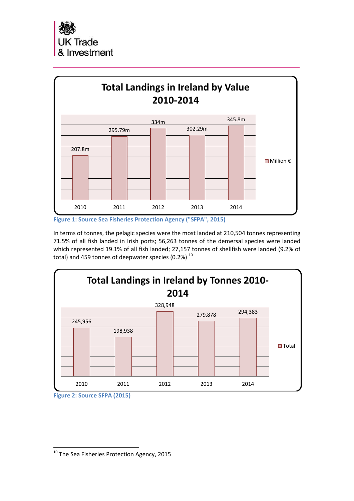

**Figure 1: Source Sea Fisheries Protection Agency ("SFPA", 2015)**

In terms of tonnes, the pelagic species were the most landed at 210,504 tonnes representing 71.5% of all fish landed in Irish ports; 56,263 tonnes of the demersal species were landed which represented 19.1% of all fish landed; 27,157 tonnes of shellfish were landed (9.2% of total) and 459 tonnes of deepwater species  $(0.2\%)$ <sup>10</sup>



**Figure 2: Source SFPA (2015)**

<sup>&</sup>lt;sup>10</sup> The Sea Fisheries Protection Agency, 2015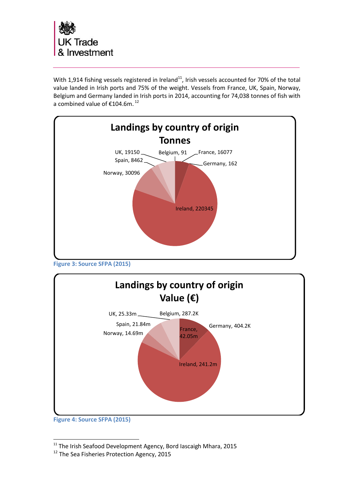

With 1,914 fishing vessels registered in Ireland<sup>11</sup>, Irish vessels accounted for 70% of the total value landed in Irish ports and 75% of the weight. Vessels from France, UK, Spain, Norway, Belgium and Germany landed in Irish ports in 2014, accounting for 74,038 tonnes of fish with a combined value of €104.6m. <sup>12</sup>



**Figure 3: Source SFPA (2015)**



**Figure 4: Source SFPA (2015)**

 $11$  The Irish Seafood Development Agency, Bord Iascaigh Mhara, 2015

<sup>&</sup>lt;sup>12</sup> The Sea Fisheries Protection Agency, 2015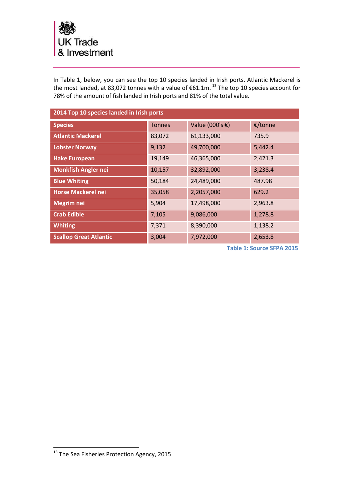

In Table 1, below, you can see the top 10 species landed in Irish ports. Atlantic Mackerel is the most landed, at 83,072 tonnes with a value of  $\epsilon$ 61.1m.  $^{13}$  The top 10 species account for 78% of the amount of fish landed in Irish ports and 81% of the total value.

| 2014 Top 10 species landed in Irish ports |               |                 |         |
|-------------------------------------------|---------------|-----------------|---------|
| <b>Species</b>                            | <b>Tonnes</b> | Value (000's €) | €/tonne |
| <b>Atlantic Mackerel</b>                  | 83,072        | 61,133,000      | 735.9   |
| <b>Lobster Norway</b>                     | 9,132         | 49,700,000      | 5,442.4 |
| <b>Hake European</b>                      | 19,149        | 46,365,000      | 2,421.3 |
| <b>Monkfish Angler nei</b>                | 10,157        | 32,892,000      | 3,238.4 |
| <b>Blue Whiting</b>                       | 50,184        | 24,489,000      | 487.98  |
| <b>Horse Mackerel nei</b>                 | 35,058        | 2,2057,000      | 629.2   |
| <b>Megrim nei</b>                         | 5,904         | 17,498,000      | 2,963.8 |
| <b>Crab Edible</b>                        | 7,105         | 9,086,000       | 1,278.8 |
| <b>Whiting</b>                            | 7,371         | 8,390,000       | 1,138.2 |
| <b>Scallop Great Atlantic</b>             | 3,004         | 7,972,000       | 2,653.8 |

**Table 1: Source SFPA 2015**

<sup>&</sup>lt;sup>13</sup> The Sea Fisheries Protection Agency, 2015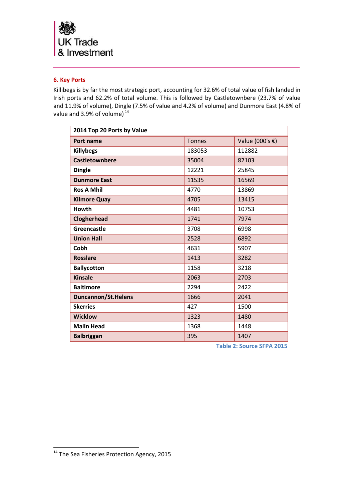

# <span id="page-8-0"></span>**6. Key Ports**

Killibegs is by far the most strategic port, accounting for 32.6% of total value of fish landed in Irish ports and 62.2% of total volume. This is followed by Castletownbere (23.7% of value and 11.9% of volume), Dingle (7.5% of value and 4.2% of volume) and Dunmore East (4.8% of value and 3.9% of volume) $^{14}$ 

| 2014 Top 20 Ports by Value |               |                 |  |
|----------------------------|---------------|-----------------|--|
| Port name                  | <b>Tonnes</b> | Value (000's €) |  |
| <b>Killybegs</b>           | 183053        | 112882          |  |
| Castletownbere             | 35004         | 82103           |  |
| <b>Dingle</b>              | 12221         | 25845           |  |
| <b>Dunmore East</b>        | 11535         | 16569           |  |
| <b>Ros A Mhil</b>          | 4770          | 13869           |  |
| <b>Kilmore Quay</b>        | 4705          | 13415           |  |
| Howth                      | 4481          | 10753           |  |
| Clogherhead                | 1741          | 7974            |  |
| Greencastle                | 3708          | 6998            |  |
| <b>Union Hall</b>          | 2528          | 6892            |  |
| Cobh                       | 4631          | 5907            |  |
| <b>Rosslare</b>            | 1413          | 3282            |  |
| <b>Ballycotton</b>         | 1158          | 3218            |  |
| <b>Kinsale</b>             | 2063          | 2703            |  |
| <b>Baltimore</b>           | 2294          | 2422            |  |
| <b>Duncannon/St.Helens</b> | 1666          | 2041            |  |
| <b>Skerries</b>            | 427           | 1500            |  |
| <b>Wicklow</b>             | 1323          | 1480            |  |
| <b>Malin Head</b>          | 1368          | 1448            |  |
| <b>Balbriggan</b>          | 395           | 1407            |  |

**Table 2: Source SFPA 2015**

<sup>&</sup>lt;sup>14</sup> The Sea Fisheries Protection Agency, 2015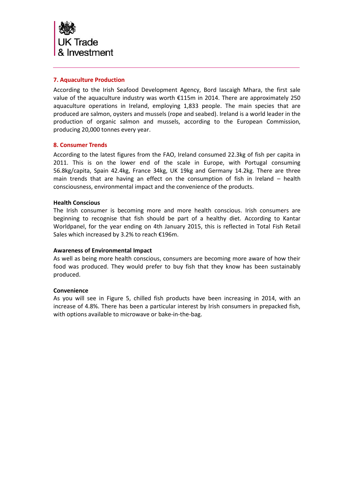

# <span id="page-9-0"></span>**7. Aquaculture Production**

According to the Irish Seafood Development Agency, Bord Iascaigh Mhara, the first sale value of the aquaculture industry was worth €115m in 2014. There are approximately 250 aquaculture operations in Ireland, employing 1,833 people. The main species that are produced are salmon, oysters and mussels (rope and seabed). Ireland is a world leader in the production of organic salmon and mussels, according to the European Commission, producing 20,000 tonnes every year.

### <span id="page-9-1"></span>**8. Consumer Trends**

According to the latest figures from the FAO, Ireland consumed 22.3kg of fish per capita in 2011. This is on the lower end of the scale in Europe, with Portugal consuming 56.8kg/capita, Spain 42.4kg, France 34kg, UK 19kg and Germany 14.2kg. There are three main trends that are having an effect on the consumption of fish in Ireland – health consciousness, environmental impact and the convenience of the products.

### **Health Conscious**

The Irish consumer is becoming more and more health conscious. Irish consumers are beginning to recognise that fish should be part of a healthy diet. According to Kantar Worldpanel, for the year ending on 4th January 2015, this is reflected in Total Fish Retail Sales which increased by 3.2% to reach €196m.

### **Awareness of Environmental Impact**

As well as being more health conscious, consumers are becoming more aware of how their food was produced. They would prefer to buy fish that they know has been sustainably produced.

### **Convenience**

As you will see in Figure 5, chilled fish products have been increasing in 2014, with an increase of 4.8%. There has been a particular interest by Irish consumers in prepacked fish, with options available to microwave or bake-in-the-bag.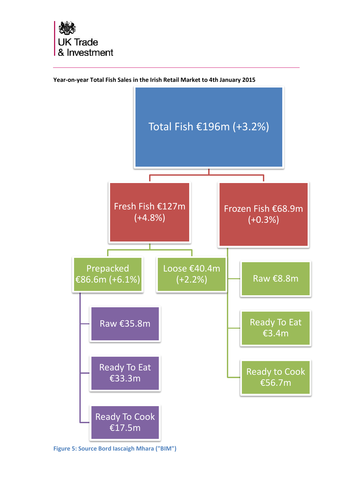



**Year-on-year Total Fish Sales in the Irish Retail Market to 4th January 2015**

**Figure 5: Source Bord Iascaigh Mhara ("BIM")**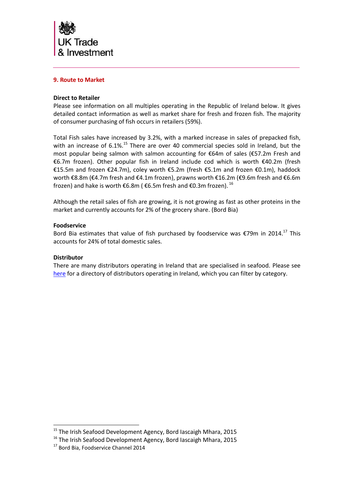![](_page_11_Picture_0.jpeg)

# <span id="page-11-0"></span>**9. Route to Market**

### **Direct to Retailer**

Please see information on all multiples operating in the Republic of Ireland below. It gives detailed contact information as well as market share for fresh and frozen fish. The majority of consumer purchasing of fish occurs in retailers (59%).

Total Fish sales have increased by 3.2%, with a marked increase in sales of prepacked fish, with an increase of 6.1%.<sup>15</sup> There are over 40 commercial species sold in Ireland, but the most popular being salmon with salmon accounting for €64m of sales (€57.2m Fresh and €6.7m frozen). Other popular fish in Ireland include cod which is worth €40.2m (fresh €15.5m and frozen €24.7m), coley worth €5.2m (fresh €5.1m and frozen €0.1m), haddock worth €8.8m (€4.7m fresh and €4.1m frozen), prawns worth €16.2m (€9.6m fresh and €6.6m frozen) and hake is worth  $\epsilon$ 6.8m ( $\epsilon$ 6.5m fresh and  $\epsilon$ 0.3m frozen). <sup>16</sup>

Although the retail sales of fish are growing, it is not growing as fast as other proteins in the market and currently accounts for 2% of the grocery share. (Bord Bia)

### **Foodservice**

Bord Bia estimates that value of fish purchased by foodservice was  $\epsilon$ 79m in 2014.<sup>17</sup> This accounts for 24% of total domestic sales.

### **Distributor**

l

There are many distributors operating in Ireland that are specialised in seafood. Please see [here](http://www.bordbia.ie/industry/manufacturers/growingyourbusiness/distributorsearch/pages/DistributorListing.aspx) for a directory of distributors operating in Ireland, which you can filter by category.

<sup>&</sup>lt;sup>15</sup> The Irish Seafood Development Agency, Bord Iascaigh Mhara, 2015

<sup>&</sup>lt;sup>16</sup> The Irish Seafood Development Agency, Bord Iascaigh Mhara, 2015

<sup>&</sup>lt;sup>17</sup> Bord Bia, Foodservice Channel 2014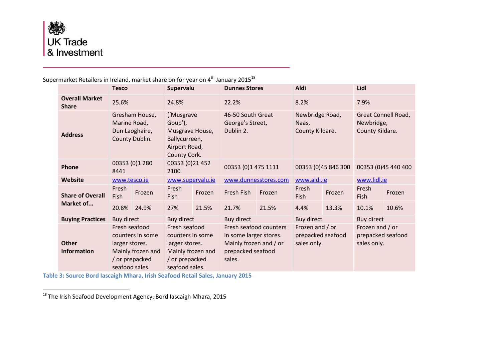![](_page_12_Picture_0.jpeg)

 $\overline{\phantom{a}}$ 

#### **Tesco Supervalu Dunnes Stores Aldi Lidl Overall Market Share** 25.6% 24.8% 24.8% 22.2% 8.2% 28.2% 25.6% 25.6% 24.8% 25.8% 25.8% 25.8% 25.8% 25.8% 25.8% 25.8% 25.8% 25.8 **Address** Gresham House, Marine Road, Dun Laoghaire, County Dublin. ('Musgrave Goup'), Musgrave House, Ballycurreen, Airport Road, County Cork. 46-50 South Great George's Street, Dublin 2. Newbridge Road, Naas, County Kildare. Great Connell Road, Newbridge, County Kildare. **Phone** 00353 (0) 1280 8441 00353 (0)21 452 <sup>2100</sup> 00353 (0)1 475 1111 00353 (0)45 846 300 00353 (0)45 440 400 **Website** [www.tesco.ie](http://www.tesco.ie/) [www.supervalu.ie](http://www.supervalu.ie/) [www.dunnesstores.com](http://www.dunnesstores.com/) [www.aldi.ie](http://www.aldi.ie/) [www.lidl.ie](http://www.lidl.ie/) **Share of Overall Market of...** Fresh Fresh Frozen Fresh<br>Fish Frozen Fish Frozen Fresh Fish Frozen Fresh Fresh Frozen Fresh<br>Fish Frozen Fish Fresh<br>Fish Frozen 20.8% 24.9% 27% 21.5% 21.7% 21.5% 4.4% 13.3% 10.1% 10.6% **Buying Practices** Buy direct Buy direct Buy direct Buy direct Buy direct Buy direct Buy direct **Other Information** Fresh seafood counters in some larger stores. Mainly frozen and / or prepacked seafood sales. Fresh seafood counters in some larger stores. Mainly frozen and / or prepacked seafood sales. Fresh seafood counters in some larger stores. Mainly frozen and / or prepacked seafood sales. Frozen and / or prepacked seafood sales only. Frozen and / or prepacked seafood sales only.

Supermarket Retailers in Ireland, market share on for year on  $4<sup>th</sup>$  January 2015<sup>18</sup>

**Table 3: Source Bord Iascaigh Mhara, Irish Seafood Retail Sales, January 2015**

<sup>18</sup> The Irish Seafood Development Agency, Bord Iascaigh Mhara, 2015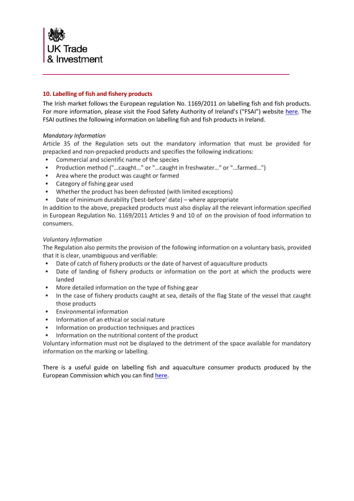![](_page_13_Picture_0.jpeg)

# <span id="page-13-0"></span>**10. Labelling of fish and fishery products**

The Irish market follows the European regulation No. 1169/2011 on labelling fish and fish products. For more information, please visit the Food Safety Authority of Ireland's ("FSAI") website [here.](https://www.fsai.ie/legislation/food_legislation/fish_and__fishery_products/labelling_of_fish_and_fishery_products_eu_legislation.html) The FSAI outlines the following information on labelling fish and fish products in Ireland.

# *Mandatory Information*

Article 35 of the Regulation sets out the mandatory information that must be provided for prepacked and non-prepacked products and specifies the following indications:

- Commercial and scientific name of the species
- Production method ("…caught…" or "…caught in freshwater…" or "…farmed…")
- **Area where the product was caught or farmed**
- **EXEC** Category of fishing gear used
- Whether the product has been defrosted (with limited exceptions)
- Date of minimum durability ('best-before' date) where appropriate

In addition to the above, prepacked products must also display all the relevant information specified in European Regulation No. 1169/2011 Articles 9 and 10 of on the provision of food information to consumers.

### *Voluntary Information*

The Regulation also permits the provision of the following information on a voluntary basis, provided that it is clear, unambiguous and verifiable:

- Date of catch of fishery products or the date of harvest of aquaculture products
- Date of landing of fishery products or information on the port at which the products were landed
- More detailed information on the type of fishing gear
- In the case of fishery products caught at sea, details of the flag State of the vessel that caught those products
- Environmental information
- **Information of an ethical or social nature**
- Information on production techniques and practices
- **Information on the nutritional content of the product**

Voluntary information must not be displayed to the detriment of the space available for mandatory information on the marking or labelling.

There is a useful guide on labelling fish and aquaculture consumer products produced by the European Commission which you can find [here.](http://ec.europa.eu/fisheries/documentation/publications/eu-new-fish-and-aquaculture-consumer-labels-pocket-guide_en.pdf)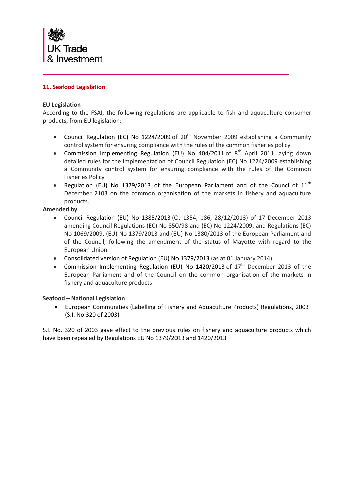![](_page_14_Picture_0.jpeg)

# <span id="page-14-0"></span>**11. Seafood Legislation**

# **EU Legislation**

According to the FSAI, the following regulations are applicable to fish and aquaculture consumer products, from EU legislation:

- Council Regulation (EC) No 1224/2009 of  $20<sup>th</sup>$  November 2009 establishing a Community control system for ensuring compliance with the rules of the common fisheries policy
- Commission Implementing Regulation (EU) No  $404/2011$  of  $8<sup>th</sup>$  April 2011 laying down detailed rules for the implementation of Council Regulation (EC) No 1224/2009 establishing a Community control system for ensuring compliance with the rules of the Common Fisheries Policy
- Regulation (EU) No 1379/2013 of the European Parliament and of the Council of  $11<sup>th</sup>$ December 2103 on the common organisation of the markets in fishery and aquaculture products.

### **Amended by**

- Council Regulation (EU) No 1385/2013 (OJ L354, p86, 28/12/2013) of 17 December 2013 amending Council Regulations (EC) No 850/98 and (EC) No 1224/2009, and Regulations (EC) No 1069/2009, (EU) No 1379/2013 and (EU) No 1380/2013 of the European Parliament and of the Council, following the amendment of the status of Mayotte with regard to the European Union
- Consolidated version of Regulation (EU) No 1379/2013 (as at 01 January 2014)
- Commission Implementing Regulation (EU) No 1420/2013 of  $17<sup>th</sup>$  December 2013 of the European Parliament and of the Council on the common organisation of the markets in fishery and aquaculture products

### **Seafood – National Legislation**

 European Communities (Labelling of Fishery and Aquaculture Products) Regulations, 2003 [\(S.I. No.320 of 2003\)](http://www.fsai.ie/uploadedFiles/S.I_No_320_of_2003.pdf)

S.I. No. 320 of 2003 gave effect to the previous rules on fishery and aquaculture products which have been repealed by Regulations EU No 1379/2013 and 1420/2013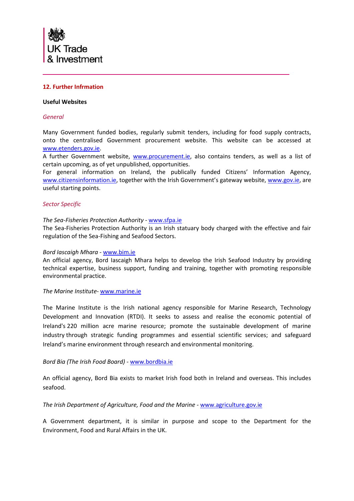![](_page_15_Picture_0.jpeg)

# <span id="page-15-0"></span>**12. Further Infrmation**

### **Useful Websites**

### *General*

Many Government funded bodies, regularly submit tenders, including for food supply contracts, onto the centralised Government procurement website. This website can be accessed at [www.etenders.gov.ie.](http://www.etenders.gov.ie/)

A further Government website, [www.procurement.ie,](http://www.procurement.ie/) also contains tenders, as well as a list of certain upcoming, as of yet unpublished, opportunities.

For general information on Ireland, the publically funded Citizens' Information Agency, [www.citizensinformation.ie](http://www.citizensinformation.ie/), together with the Irish Government's gateway website, [www.gov.ie,](http://www.gov.ie/) are useful starting points.

### *Sector Specific*

### *The Sea-Fisheries Protection Authority -* [www.sfpa.ie](http://www.sfpa.ie/)

The Sea-Fisheries Protection Authority is an Irish statuary body charged with the effective and fair regulation of the Sea-Fishing and Seafood Sectors.

### *Bord Iascaigh Mhara -* [www.bim.ie](http://www.bim.ie/)

An official agency, Bord Iascaigh Mhara helps to develop the Irish Seafood Industry by providing [technical expertise,](http://www.bim.ie/our-services/technology-services/) [business support,](http://www.bim.ie/our-services/grow-your-business/) [funding](http://www.bim.ie/schemes/) and [training,](http://www.bim.ie/training/) together with [promoting responsible](http://www.bim.ie/our-services/your-environment/)  [environmental practice.](http://www.bim.ie/our-services/your-environment/)

### *The Marine Institute-* [www.marine.ie](http://www.marine.ie/)

The Marine Institute is the Irish national agency responsible for Marine Research, Technology Development and Innovation (RTDI). It seeks to assess and realise the economic potential of Ireland's 220 million acre marine resource; promote the sustainable development of marine industry through strategic funding programmes and essential scientific services; and safeguard Ireland's marine environment through research and environmental monitoring.

### *Bord Bia (The Irish Food Board) -* [www.bordbia.ie](http://www.bordbia.ie/)

An official agency, Bord Bia exists to market Irish food both in Ireland and overseas. This includes seafood.

### *The Irish Department of Agriculture, Food and the Marine -* [www.agriculture.gov.ie](http://www.agriculture.gov.ie/)

A Government department, it is similar in purpose and scope to the Department for the Environment, Food and Rural Affairs in the UK.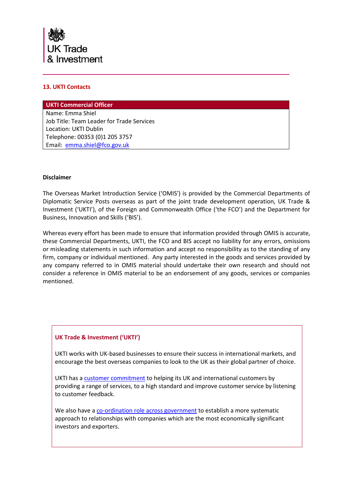![](_page_16_Picture_0.jpeg)

# <span id="page-16-0"></span>**13. UKTI Contacts**

**UKTI Commercial Officer** Name: Emma Shiel Job Title: Team Leader for Trade Services Location: UKTI Dublin Telephone: 00353 (0)1 205 3757 Email: [emma.shiel@fco.gov.uk](mailto:emma.shiel@fco.gov.uk)

### **Disclaimer**

The Overseas Market Introduction Service ('OMIS') is provided by the Commercial Departments of Diplomatic Service Posts overseas as part of the joint trade development operation, UK Trade & Investment ('UKTI'), of the Foreign and Commonwealth Office ('the FCO') and the Department for Business, Innovation and Skills ('BIS').

Whereas every effort has been made to ensure that information provided through OMIS is accurate, these Commercial Departments, UKTI, the FCO and BIS accept no liability for any errors, omissions or misleading statements in such information and accept no responsibility as to the standing of any firm, company or individual mentioned. Any party interested in the goods and services provided by any company referred to in OMIS material should undertake their own research and should not consider a reference in OMIS material to be an endorsement of any goods, services or companies mentioned.

### **UK Trade & Investment ('UKTI')**

UKTI works with UK-based businesses to ensure their success in international markets, and encourage the best overseas companies to look to the UK as their global partner of choice.

UKTI has [a customer commitment](http://www.ukti.gov.uk/uktihome/aboutukti/item/138580.html) to helping its UK and international customers by providing a range of services, to a high standard and improve customer service by listening to customer feedback.

We also have [a co-ordination role across government](http://www.ukti.gov.uk/uktihome/item/203560.html) to establish a more systematic approach to relationships with companies which are the most economically significant investors and exporters.